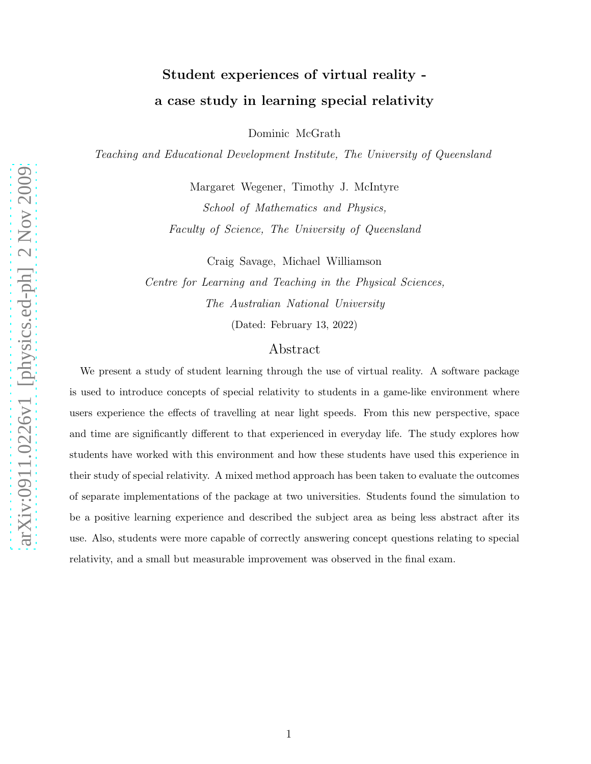# Student experiences of virtual reality a case study in learning special relativity

Dominic McGrath

Teaching and Educational Development Institute, The University of Queensland

Margaret Wegener, Timothy J. McIntyre School of Mathematics and Physics, Faculty of Science, The University of Queensland

Craig Savage, Michael Williamson

Centre for Learning and Teaching in the Physical Sciences, The Australian National University (Dated: February 13, 2022)

# Abstract

We present a study of student learning through the use of virtual reality. A software package is used to introduce concepts of special relativity to students in a game-like environment where users experience the effects of travelling at near light speeds. From this new perspective, space and time are significantly different to that experienced in everyday life. The study explores how students have worked with this environment and how these students have used this experience in their study of special relativity. A mixed method approach has been taken to evaluate the outcomes of separate implementations of the package at two universities. Students found the simulation to be a positive learning experience and described the subject area as being less abstract after its use. Also, students were more capable of correctly answering concept questions relating to special relativity, and a small but measurable improvement was observed in the final exam.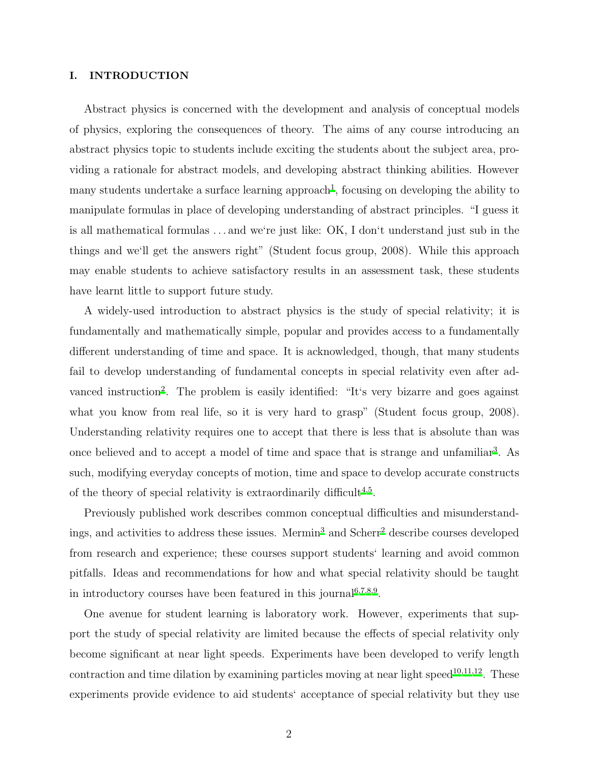# I. INTRODUCTION

Abstract physics is concerned with the development and analysis of conceptual models of physics, exploring the consequences of theory. The aims of any course introducing an abstract physics topic to students include exciting the students about the subject area, providing a rationale for abstract models, and developing abstract thinking abilities. However many students undertake a surface learning approach<sup>[1](#page-14-0)</sup>, focusing on developing the ability to manipulate formulas in place of developing understanding of abstract principles. "I guess it is all mathematical formulas . . . and we're just like: OK, I don't understand just sub in the things and we'll get the answers right" (Student focus group, 2008). While this approach may enable students to achieve satisfactory results in an assessment task, these students have learnt little to support future study.

A widely-used introduction to abstract physics is the study of special relativity; it is fundamentally and mathematically simple, popular and provides access to a fundamentally different understanding of time and space. It is acknowledged, though, that many students fail to develop understanding of fundamental concepts in special relativity even after ad-vanced instruction<sup>[2](#page-14-1)</sup>. The problem is easily identified: "It's very bizarre and goes against what you know from real life, so it is very hard to grasp" (Student focus group, 2008). Understanding relativity requires one to accept that there is less that is absolute than was once believed and to accept a model of time and space that is strange and unfamiliar<sup>[3](#page-14-2)</sup>. As such, modifying everyday concepts of motion, time and space to develop accurate constructs of the theory of special relativity is extraordinarily difficult<sup>[4](#page-15-0)[,5](#page-15-1)</sup>.

Previously published work describes common conceptual difficulties and misunderstand-ings, and activities to address these issues. Mermin<sup>[3](#page-14-2)</sup> and Scherr<sup>[2](#page-14-1)</sup> describe courses developed from research and experience; these courses support students' learning and avoid common pitfalls. Ideas and recommendations for how and what special relativity should be taught in introductory courses have been featured in this journal<sup>[6](#page-15-2)[,7](#page-15-3)[,8](#page-15-4)[,9](#page-15-5)</sup>.

One avenue for student learning is laboratory work. However, experiments that support the study of special relativity are limited because the effects of special relativity only become significant at near light speeds. Experiments have been developed to verify length contraction and time dilation by examining particles moving at near light speed<sup>[10](#page-15-6)[,11](#page-15-7)[,12](#page-15-8)</sup>. These experiments provide evidence to aid students' acceptance of special relativity but they use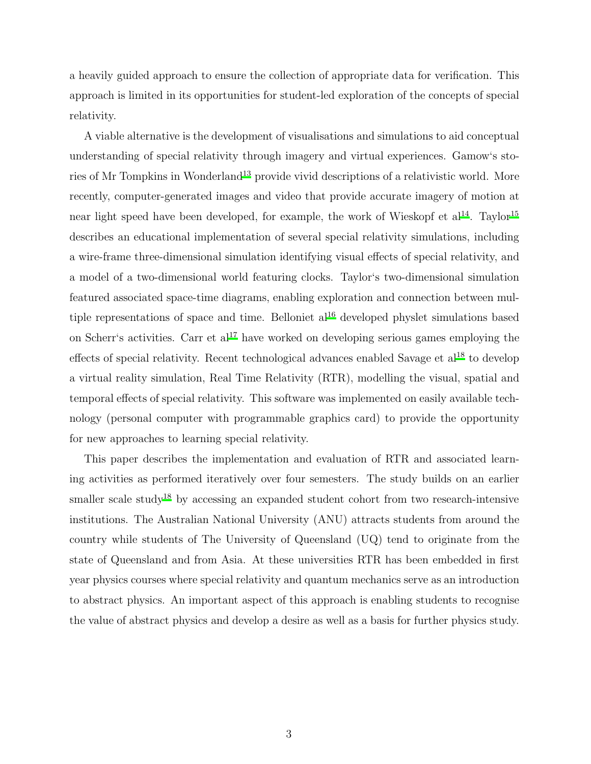a heavily guided approach to ensure the collection of appropriate data for verification. This approach is limited in its opportunities for student-led exploration of the concepts of special relativity.

A viable alternative is the development of visualisations and simulations to aid conceptual understanding of special relativity through imagery and virtual experiences. Gamow's sto-ries of Mr Tompkins in Wonderland<sup>[13](#page-15-9)</sup> provide vivid descriptions of a relativistic world. More recently, computer-generated images and video that provide accurate imagery of motion at near light speed have been developed, for example, the work of Wieskopf et  $al^{14}$  $al^{14}$  $al^{14}$ . Taylor<sup>[15](#page-15-11)</sup> describes an educational implementation of several special relativity simulations, including a wire-frame three-dimensional simulation identifying visual effects of special relativity, and a model of a two-dimensional world featuring clocks. Taylor's two-dimensional simulation featured associated space-time diagrams, enabling exploration and connection between multiple representations of space and time. Belloniet  $al^{16}$  $al^{16}$  $al^{16}$  developed physlet simulations based on Scherr's activities. Carr et  $al^{17}$  $al^{17}$  $al^{17}$  have worked on developing serious games employing the effects of special relativity. Recent technological advances enabled Savage et  $al^{18}$  $al^{18}$  $al^{18}$  to develop a virtual reality simulation, Real Time Relativity (RTR), modelling the visual, spatial and temporal effects of special relativity. This software was implemented on easily available technology (personal computer with programmable graphics card) to provide the opportunity for new approaches to learning special relativity.

This paper describes the implementation and evaluation of RTR and associated learning activities as performed iteratively over four semesters. The study builds on an earlier smaller scale study<sup>[18](#page-15-14)</sup> by accessing an expanded student cohort from two research-intensive institutions. The Australian National University (ANU) attracts students from around the country while students of The University of Queensland (UQ) tend to originate from the state of Queensland and from Asia. At these universities RTR has been embedded in first year physics courses where special relativity and quantum mechanics serve as an introduction to abstract physics. An important aspect of this approach is enabling students to recognise the value of abstract physics and develop a desire as well as a basis for further physics study.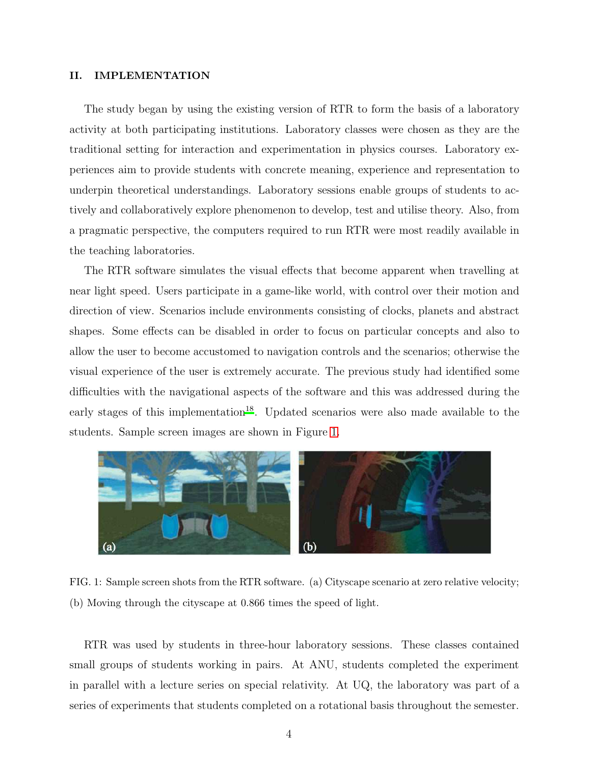### II. IMPLEMENTATION

The study began by using the existing version of RTR to form the basis of a laboratory activity at both participating institutions. Laboratory classes were chosen as they are the traditional setting for interaction and experimentation in physics courses. Laboratory experiences aim to provide students with concrete meaning, experience and representation to underpin theoretical understandings. Laboratory sessions enable groups of students to actively and collaboratively explore phenomenon to develop, test and utilise theory. Also, from a pragmatic perspective, the computers required to run RTR were most readily available in the teaching laboratories.

The RTR software simulates the visual effects that become apparent when travelling at near light speed. Users participate in a game-like world, with control over their motion and direction of view. Scenarios include environments consisting of clocks, planets and abstract shapes. Some effects can be disabled in order to focus on particular concepts and also to allow the user to become accustomed to navigation controls and the scenarios; otherwise the visual experience of the user is extremely accurate. The previous study had identified some difficulties with the navigational aspects of the software and this was addressed during the early stages of this implementation<sup>[18](#page-15-14)</sup>. Updated scenarios were also made available to the students. Sample screen images are shown in Figure [1.](#page-3-0)



FIG. 1: Sample screen shots from the RTR software. (a) Cityscape scenario at zero relative velocity; (b) Moving through the cityscape at 0.866 times the speed of light.

<span id="page-3-0"></span>RTR was used by students in three-hour laboratory sessions. These classes contained small groups of students working in pairs. At ANU, students completed the experiment in parallel with a lecture series on special relativity. At UQ, the laboratory was part of a series of experiments that students completed on a rotational basis throughout the semester.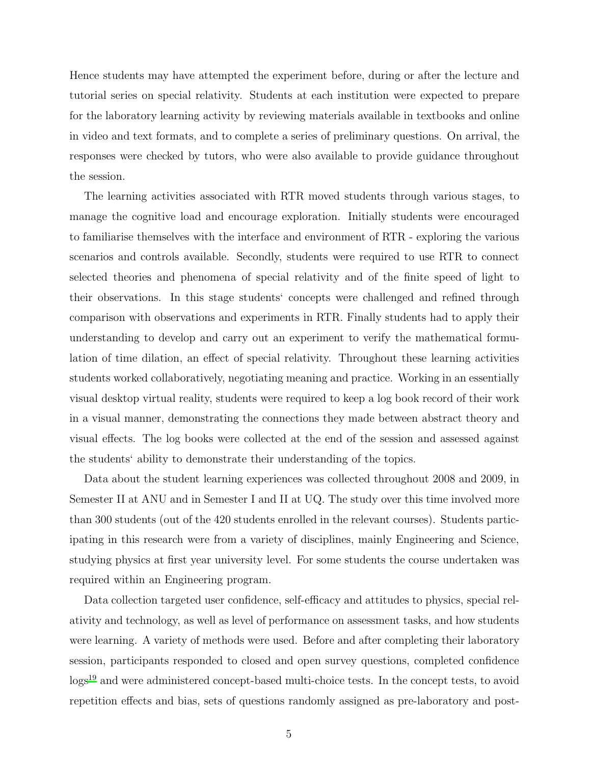Hence students may have attempted the experiment before, during or after the lecture and tutorial series on special relativity. Students at each institution were expected to prepare for the laboratory learning activity by reviewing materials available in textbooks and online in video and text formats, and to complete a series of preliminary questions. On arrival, the responses were checked by tutors, who were also available to provide guidance throughout the session.

The learning activities associated with RTR moved students through various stages, to manage the cognitive load and encourage exploration. Initially students were encouraged to familiarise themselves with the interface and environment of RTR - exploring the various scenarios and controls available. Secondly, students were required to use RTR to connect selected theories and phenomena of special relativity and of the finite speed of light to their observations. In this stage students' concepts were challenged and refined through comparison with observations and experiments in RTR. Finally students had to apply their understanding to develop and carry out an experiment to verify the mathematical formulation of time dilation, an effect of special relativity. Throughout these learning activities students worked collaboratively, negotiating meaning and practice. Working in an essentially visual desktop virtual reality, students were required to keep a log book record of their work in a visual manner, demonstrating the connections they made between abstract theory and visual effects. The log books were collected at the end of the session and assessed against the students' ability to demonstrate their understanding of the topics.

Data about the student learning experiences was collected throughout 2008 and 2009, in Semester II at ANU and in Semester I and II at UQ. The study over this time involved more than 300 students (out of the 420 students enrolled in the relevant courses). Students participating in this research were from a variety of disciplines, mainly Engineering and Science, studying physics at first year university level. For some students the course undertaken was required within an Engineering program.

Data collection targeted user confidence, self-efficacy and attitudes to physics, special relativity and technology, as well as level of performance on assessment tasks, and how students were learning. A variety of methods were used. Before and after completing their laboratory session, participants responded to closed and open survey questions, completed confidence logs<sup>[19](#page-16-0)</sup> and were administered concept-based multi-choice tests. In the concept tests, to avoid repetition effects and bias, sets of questions randomly assigned as pre-laboratory and post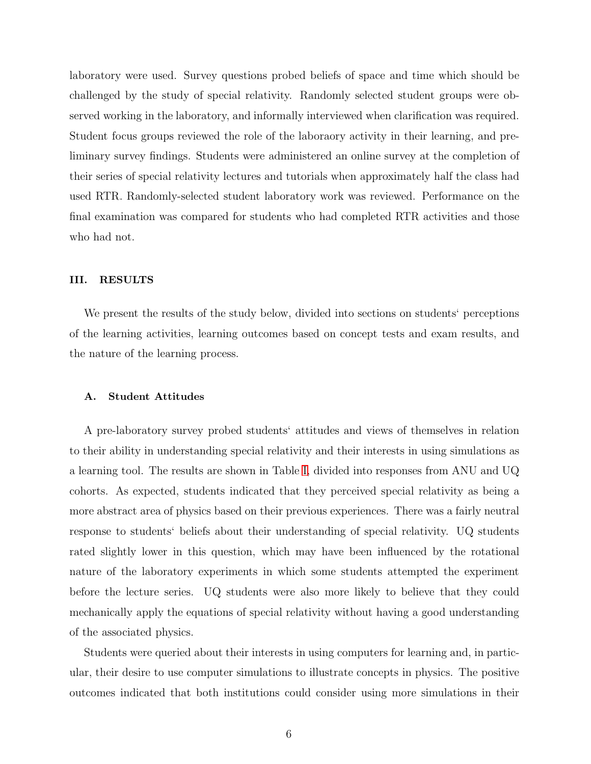laboratory were used. Survey questions probed beliefs of space and time which should be challenged by the study of special relativity. Randomly selected student groups were observed working in the laboratory, and informally interviewed when clarification was required. Student focus groups reviewed the role of the laboraory activity in their learning, and preliminary survey findings. Students were administered an online survey at the completion of their series of special relativity lectures and tutorials when approximately half the class had used RTR. Randomly-selected student laboratory work was reviewed. Performance on the final examination was compared for students who had completed RTR activities and those who had not.

#### III. RESULTS

We present the results of the study below, divided into sections on students' perceptions of the learning activities, learning outcomes based on concept tests and exam results, and the nature of the learning process.

#### A. Student Attitudes

A pre-laboratory survey probed students' attitudes and views of themselves in relation to their ability in understanding special relativity and their interests in using simulations as a learning tool. The results are shown in Table [I,](#page-6-0) divided into responses from ANU and UQ cohorts. As expected, students indicated that they perceived special relativity as being a more abstract area of physics based on their previous experiences. There was a fairly neutral response to students' beliefs about their understanding of special relativity. UQ students rated slightly lower in this question, which may have been influenced by the rotational nature of the laboratory experiments in which some students attempted the experiment before the lecture series. UQ students were also more likely to believe that they could mechanically apply the equations of special relativity without having a good understanding of the associated physics.

Students were queried about their interests in using computers for learning and, in particular, their desire to use computer simulations to illustrate concepts in physics. The positive outcomes indicated that both institutions could consider using more simulations in their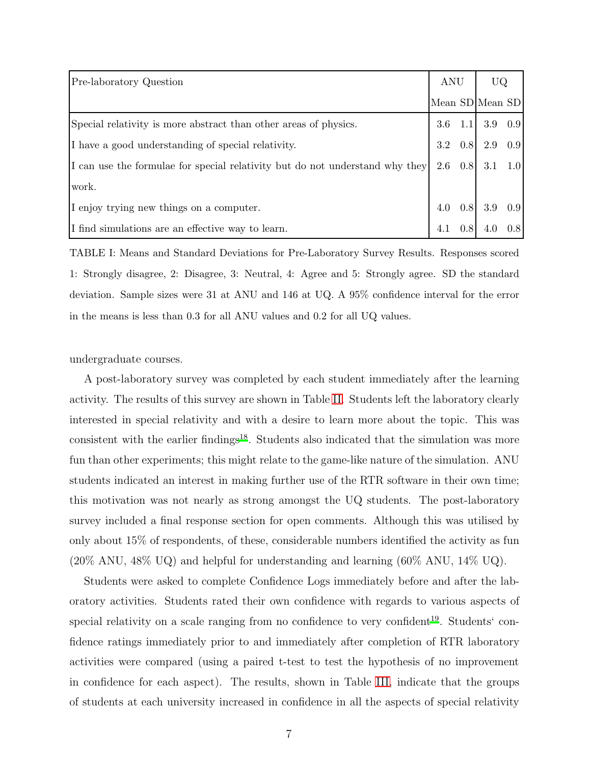| <b>Pre-laboratory Question</b>                                               | ANU |  | UQ                                                                                                         |  |
|------------------------------------------------------------------------------|-----|--|------------------------------------------------------------------------------------------------------------|--|
|                                                                              |     |  | Mean SD Mean SD                                                                                            |  |
| Special relativity is more abstract than other areas of physics.             |     |  |                                                                                                            |  |
| I have a good understanding of special relativity.                           |     |  | $\begin{array}{ccc c} 3.6 & 1.1 & 3.9 & 0.9 \\ 3.2 & 0.8 & 2.9 & 0.9 \\ 2.6 & 0.8 & 3.1 & 1.0 \end{array}$ |  |
| I can use the formulae for special relativity but do not understand why they |     |  |                                                                                                            |  |
| work.                                                                        |     |  |                                                                                                            |  |
| I enjoy trying new things on a computer.                                     |     |  | 4.0 0.8 3.9 0.9<br>4.1 0.8 4.0 0.8                                                                         |  |
| If find simulations are an effective way to learn.                           |     |  |                                                                                                            |  |

<span id="page-6-0"></span>TABLE I: Means and Standard Deviations for Pre-Laboratory Survey Results. Responses scored 1: Strongly disagree, 2: Disagree, 3: Neutral, 4: Agree and 5: Strongly agree. SD the standard deviation. Sample sizes were 31 at ANU and 146 at UQ. A 95% confidence interval for the error in the means is less than 0.3 for all ANU values and 0.2 for all UQ values.

undergraduate courses.

A post-laboratory survey was completed by each student immediately after the learning activity. The results of this survey are shown in Table [II.](#page-7-0) Students left the laboratory clearly interested in special relativity and with a desire to learn more about the topic. This was consistent with the earlier findings<sup>[18](#page-15-14)</sup>. Students also indicated that the simulation was more fun than other experiments; this might relate to the game-like nature of the simulation. ANU students indicated an interest in making further use of the RTR software in their own time; this motivation was not nearly as strong amongst the UQ students. The post-laboratory survey included a final response section for open comments. Although this was utilised by only about 15% of respondents, of these, considerable numbers identified the activity as fun (20% ANU, 48% UQ) and helpful for understanding and learning (60% ANU, 14% UQ).

Students were asked to complete Confidence Logs immediately before and after the laboratory activities. Students rated their own confidence with regards to various aspects of special relativity on a scale ranging from no confidence to very confident<sup>[19](#page-16-0)</sup>. Students' confidence ratings immediately prior to and immediately after completion of RTR laboratory activities were compared (using a paired t-test to test the hypothesis of no improvement in confidence for each aspect). The results, shown in Table [III,](#page-8-0) indicate that the groups of students at each university increased in confidence in all the aspects of special relativity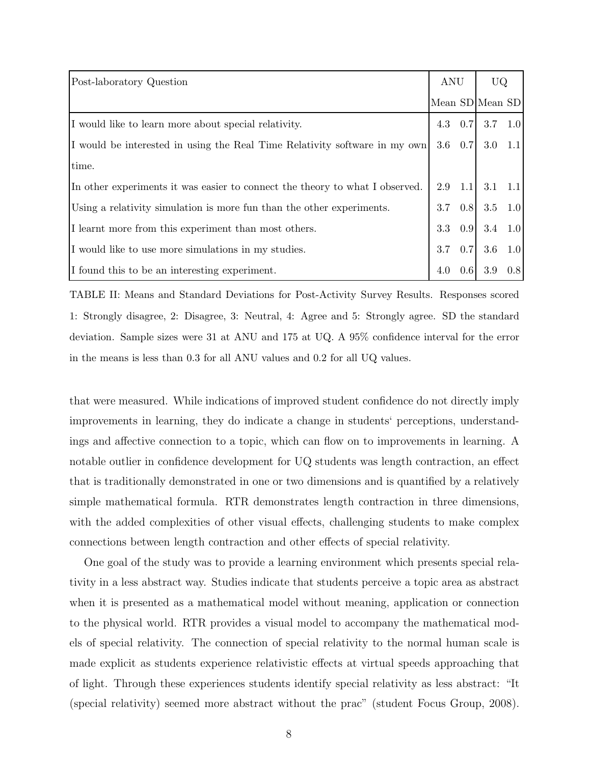| Post-laboratory Question                                                     | <b>ANU</b>      |  | UQ              |  |
|------------------------------------------------------------------------------|-----------------|--|-----------------|--|
|                                                                              |                 |  | Mean SD Mean SD |  |
| If would like to learn more about special relativity.                        | 4.3 0.7         |  | 3.7 $1.0$       |  |
| I would be interested in using the Real Time Relativity software in my own   | $3.6 \quad 0.7$ |  | $3.0 \quad 1.1$ |  |
| time.                                                                        |                 |  |                 |  |
| In other experiments it was easier to connect the theory to what I observed. | $2.9$ 1.1       |  | $3.1 \quad 1.1$ |  |
| Using a relativity simulation is more fun than the other experiments.        |                 |  | 3.7 0.8 3.5 1.0 |  |
| If learnt more from this experiment than most others.                        | $3.3 \quad 0.9$ |  | 3.4 $1.0$       |  |
| If would like to use more simulations in my studies.                         | 3.7 0.7         |  | 3.6 $1.0$       |  |
| If found this to be an interesting experiment.                               | 4.0             |  | $0.6$ 3.9 0.8   |  |

<span id="page-7-0"></span>TABLE II: Means and Standard Deviations for Post-Activity Survey Results. Responses scored 1: Strongly disagree, 2: Disagree, 3: Neutral, 4: Agree and 5: Strongly agree. SD the standard deviation. Sample sizes were 31 at ANU and 175 at UQ. A 95% confidence interval for the error in the means is less than 0.3 for all ANU values and 0.2 for all UQ values.

that were measured. While indications of improved student confidence do not directly imply improvements in learning, they do indicate a change in students' perceptions, understandings and affective connection to a topic, which can flow on to improvements in learning. A notable outlier in confidence development for UQ students was length contraction, an effect that is traditionally demonstrated in one or two dimensions and is quantified by a relatively simple mathematical formula. RTR demonstrates length contraction in three dimensions, with the added complexities of other visual effects, challenging students to make complex connections between length contraction and other effects of special relativity.

One goal of the study was to provide a learning environment which presents special relativity in a less abstract way. Studies indicate that students perceive a topic area as abstract when it is presented as a mathematical model without meaning, application or connection to the physical world. RTR provides a visual model to accompany the mathematical models of special relativity. The connection of special relativity to the normal human scale is made explicit as students experience relativistic effects at virtual speeds approaching that of light. Through these experiences students identify special relativity as less abstract: "It (special relativity) seemed more abstract without the prac" (student Focus Group, 2008).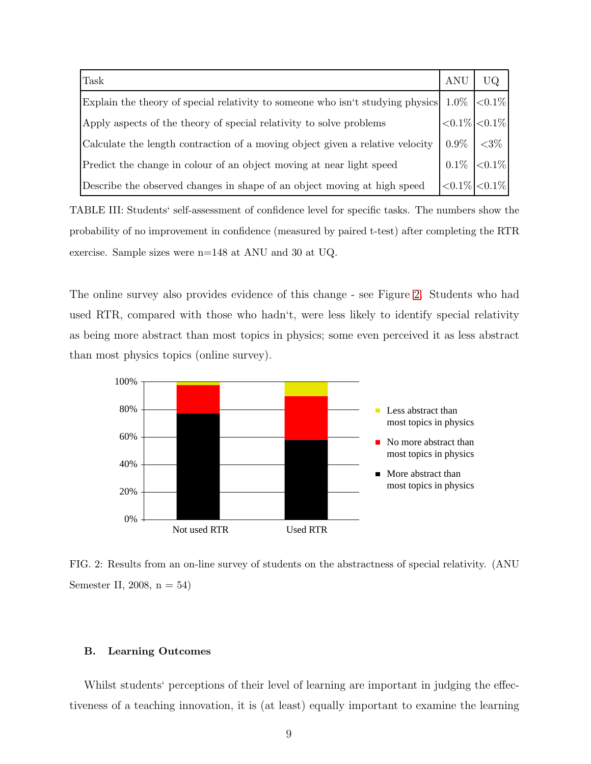| Task                                                                                             | ANU                                    | UQ.                                                                                                                                                                                                                           |
|--------------------------------------------------------------------------------------------------|----------------------------------------|-------------------------------------------------------------------------------------------------------------------------------------------------------------------------------------------------------------------------------|
| Explain the theory of special relativity to someone who isn't studying physics $ 1.0\%  < 0.1\%$ |                                        |                                                                                                                                                                                                                               |
| Apply aspects of the theory of special relativity to solve problems                              | $\Big \text{<}0.1\%\Big \text{<}0.1\%$ |                                                                                                                                                                                                                               |
| Calculate the length contraction of a moving object given a relative velocity                    |                                        | $0.9\%$ <3\% \right\} <3\% \right\} \right\} \right\} \right\} \right\} \right\} \right\} \right\} \right\} \right\} \right\} \right\} \right\} \right\} \right\} \right\} \right\} \right\} \right\} \right\} \right\} \righ |
| Predict the change in colour of an object moving at near light speed                             |                                        | $0.1\%$ < 0.1%                                                                                                                                                                                                                |
| Describe the observed changes in shape of an object moving at high speed                         |                                        | $ <\!\!0.1\% <\!\!0.1\%$                                                                                                                                                                                                      |

<span id="page-8-0"></span>TABLE III: Students' self-assessment of confidence level for specific tasks. The numbers show the probability of no improvement in confidence (measured by paired t-test) after completing the RTR exercise. Sample sizes were n=148 at ANU and 30 at UQ.

The online survey also provides evidence of this change - see Figure [2.](#page-8-1) Students who had used RTR, compared with those who hadn't, were less likely to identify special relativity as being more abstract than most topics in physics; some even perceived it as less abstract than most physics topics (online survey).



<span id="page-8-1"></span>FIG. 2: Results from an on-line survey of students on the abstractness of special relativity. (ANU Semester II, 2008,  $n = 54$ )

# B. Learning Outcomes

Whilst students' perceptions of their level of learning are important in judging the effectiveness of a teaching innovation, it is (at least) equally important to examine the learning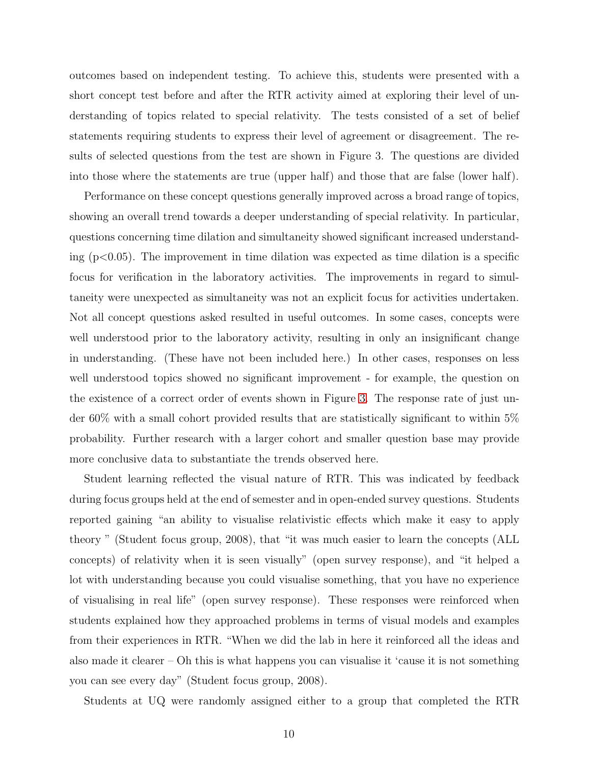outcomes based on independent testing. To achieve this, students were presented with a short concept test before and after the RTR activity aimed at exploring their level of understanding of topics related to special relativity. The tests consisted of a set of belief statements requiring students to express their level of agreement or disagreement. The results of selected questions from the test are shown in Figure 3. The questions are divided into those where the statements are true (upper half) and those that are false (lower half).

Performance on these concept questions generally improved across a broad range of topics, showing an overall trend towards a deeper understanding of special relativity. In particular, questions concerning time dilation and simultaneity showed significant increased understanding  $(p<0.05)$ . The improvement in time dilation was expected as time dilation is a specific focus for verification in the laboratory activities. The improvements in regard to simultaneity were unexpected as simultaneity was not an explicit focus for activities undertaken. Not all concept questions asked resulted in useful outcomes. In some cases, concepts were well understood prior to the laboratory activity, resulting in only an insignificant change in understanding. (These have not been included here.) In other cases, responses on less well understood topics showed no significant improvement - for example, the question on the existence of a correct order of events shown in Figure [3.](#page-10-0) The response rate of just under 60% with a small cohort provided results that are statistically significant to within 5% probability. Further research with a larger cohort and smaller question base may provide more conclusive data to substantiate the trends observed here.

Student learning reflected the visual nature of RTR. This was indicated by feedback during focus groups held at the end of semester and in open-ended survey questions. Students reported gaining "an ability to visualise relativistic effects which make it easy to apply theory " (Student focus group, 2008), that "it was much easier to learn the concepts (ALL concepts) of relativity when it is seen visually" (open survey response), and "it helped a lot with understanding because you could visualise something, that you have no experience of visualising in real life" (open survey response). These responses were reinforced when students explained how they approached problems in terms of visual models and examples from their experiences in RTR. "When we did the lab in here it reinforced all the ideas and also made it clearer – Oh this is what happens you can visualise it 'cause it is not something you can see every day" (Student focus group, 2008).

Students at UQ were randomly assigned either to a group that completed the RTR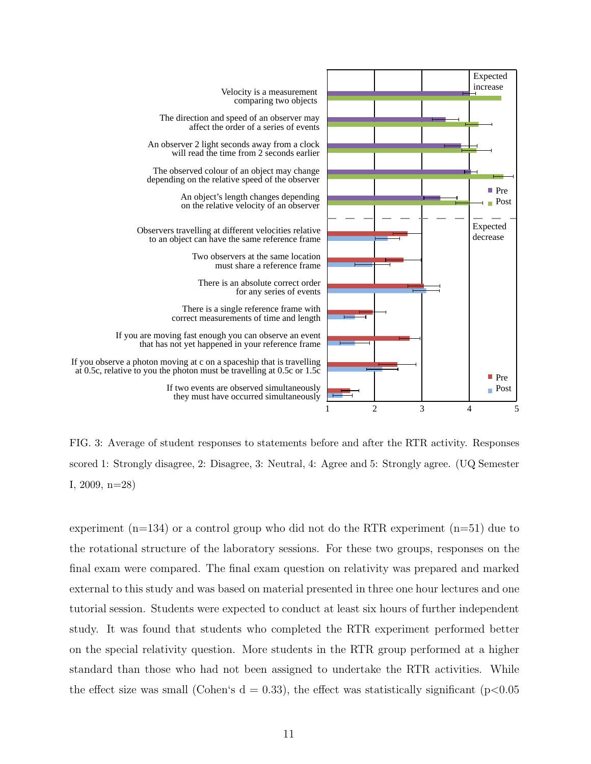

<span id="page-10-0"></span>FIG. 3: Average of student responses to statements before and after the RTR activity. Responses scored 1: Strongly disagree, 2: Disagree, 3: Neutral, 4: Agree and 5: Strongly agree. (UQ Semester I, 2009, n=28)

experiment  $(n=134)$  or a control group who did not do the RTR experiment  $(n=51)$  due to the rotational structure of the laboratory sessions. For these two groups, responses on the final exam were compared. The final exam question on relativity was prepared and marked external to this study and was based on material presented in three one hour lectures and one tutorial session. Students were expected to conduct at least six hours of further independent study. It was found that students who completed the RTR experiment performed better on the special relativity question. More students in the RTR group performed at a higher standard than those who had not been assigned to undertake the RTR activities. While the effect size was small (Cohen's  $d = 0.33$ ), the effect was statistically significant (p<0.05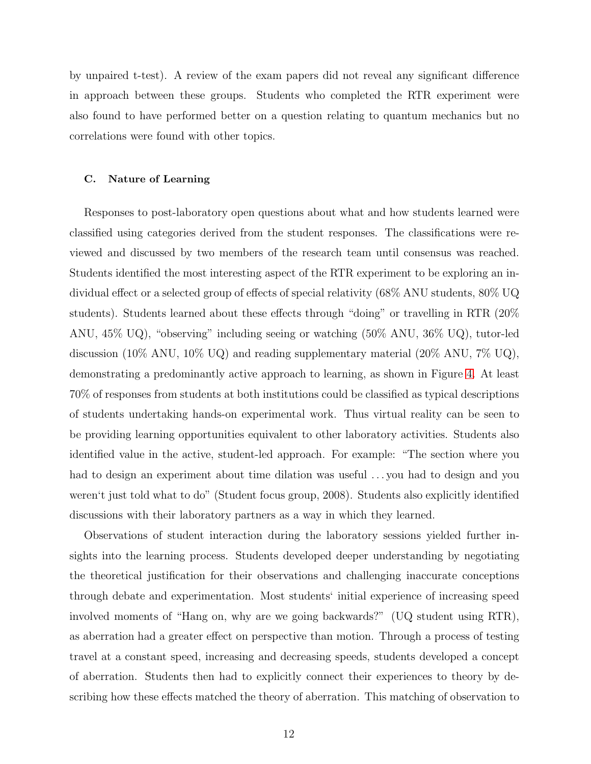by unpaired t-test). A review of the exam papers did not reveal any significant difference in approach between these groups. Students who completed the RTR experiment were also found to have performed better on a question relating to quantum mechanics but no correlations were found with other topics.

### C. Nature of Learning

Responses to post-laboratory open questions about what and how students learned were classified using categories derived from the student responses. The classifications were reviewed and discussed by two members of the research team until consensus was reached. Students identified the most interesting aspect of the RTR experiment to be exploring an individual effect or a selected group of effects of special relativity (68% ANU students, 80% UQ students). Students learned about these effects through "doing" or travelling in RTR (20% ANU, 45% UQ), "observing" including seeing or watching (50% ANU, 36% UQ), tutor-led discussion (10% ANU, 10% UQ) and reading supplementary material (20% ANU, 7% UQ), demonstrating a predominantly active approach to learning, as shown in Figure [4.](#page-12-0) At least 70% of responses from students at both institutions could be classified as typical descriptions of students undertaking hands-on experimental work. Thus virtual reality can be seen to be providing learning opportunities equivalent to other laboratory activities. Students also identified value in the active, student-led approach. For example: "The section where you had to design an experiment about time dilation was useful ... you had to design and you weren't just told what to do" (Student focus group, 2008). Students also explicitly identified discussions with their laboratory partners as a way in which they learned.

Observations of student interaction during the laboratory sessions yielded further insights into the learning process. Students developed deeper understanding by negotiating the theoretical justification for their observations and challenging inaccurate conceptions through debate and experimentation. Most students' initial experience of increasing speed involved moments of "Hang on, why are we going backwards?" (UQ student using RTR), as aberration had a greater effect on perspective than motion. Through a process of testing travel at a constant speed, increasing and decreasing speeds, students developed a concept of aberration. Students then had to explicitly connect their experiences to theory by describing how these effects matched the theory of aberration. This matching of observation to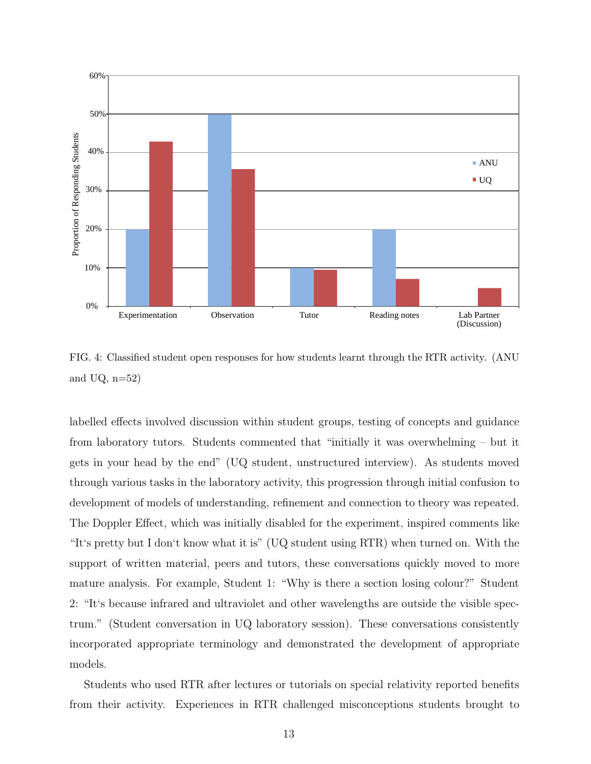

<span id="page-12-0"></span>FIG. 4: Classified student open responses for how students learnt through the RTR activity. (ANU and UQ,  $n=52$ )

labelled effects involved discussion within student groups, testing of concepts and guidance from laboratory tutors. Students commented that "initially it was overwhelming – but it gets in your head by the end" (UQ student, unstructured interview). As students moved through various tasks in the laboratory activity, this progression through initial confusion to development of models of understanding, refinement and connection to theory was repeated. The Doppler Effect, which was initially disabled for the experiment, inspired comments like "It's pretty but I don't know what it is" (UQ student using RTR) when turned on. With the support of written material, peers and tutors, these conversations quickly moved to more mature analysis. For example, Student 1: "Why is there a section losing colour?" Student 2: "It's because infrared and ultraviolet and other wavelengths are outside the visible spectrum." (Student conversation in UQ laboratory session). These conversations consistently incorporated appropriate terminology and demonstrated the development of appropriate models.

Students who used RTR after lectures or tutorials on special relativity reported benefits from their activity. Experiences in RTR challenged misconceptions students brought to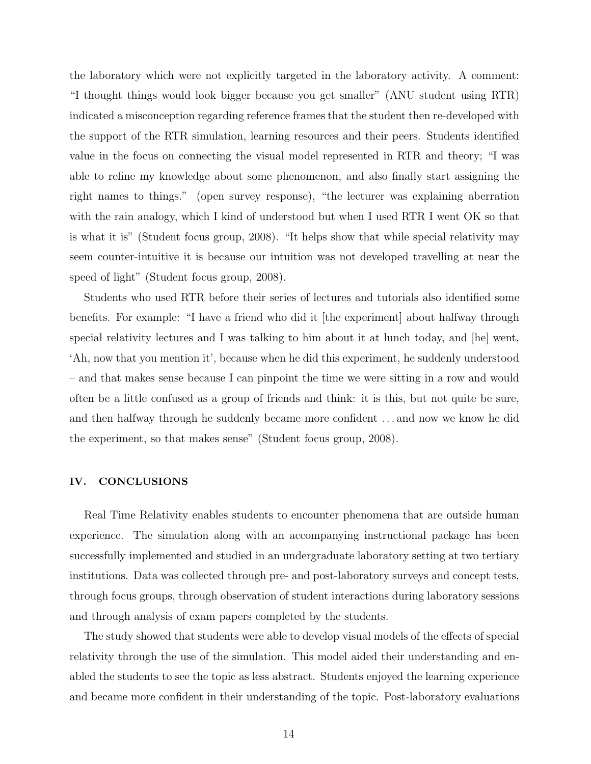the laboratory which were not explicitly targeted in the laboratory activity. A comment: "I thought things would look bigger because you get smaller" (ANU student using RTR) indicated a misconception regarding reference frames that the student then re-developed with the support of the RTR simulation, learning resources and their peers. Students identified value in the focus on connecting the visual model represented in RTR and theory; "I was able to refine my knowledge about some phenomenon, and also finally start assigning the right names to things." (open survey response), "the lecturer was explaining aberration with the rain analogy, which I kind of understood but when I used RTR I went OK so that is what it is" (Student focus group, 2008). "It helps show that while special relativity may seem counter-intuitive it is because our intuition was not developed travelling at near the speed of light" (Student focus group, 2008).

Students who used RTR before their series of lectures and tutorials also identified some benefits. For example: "I have a friend who did it [the experiment] about halfway through special relativity lectures and I was talking to him about it at lunch today, and [he] went, 'Ah, now that you mention it', because when he did this experiment, he suddenly understood – and that makes sense because I can pinpoint the time we were sitting in a row and would often be a little confused as a group of friends and think: it is this, but not quite be sure, and then halfway through he suddenly became more confident . . . and now we know he did the experiment, so that makes sense" (Student focus group, 2008).

#### IV. CONCLUSIONS

Real Time Relativity enables students to encounter phenomena that are outside human experience. The simulation along with an accompanying instructional package has been successfully implemented and studied in an undergraduate laboratory setting at two tertiary institutions. Data was collected through pre- and post-laboratory surveys and concept tests, through focus groups, through observation of student interactions during laboratory sessions and through analysis of exam papers completed by the students.

The study showed that students were able to develop visual models of the effects of special relativity through the use of the simulation. This model aided their understanding and enabled the students to see the topic as less abstract. Students enjoyed the learning experience and became more confident in their understanding of the topic. Post-laboratory evaluations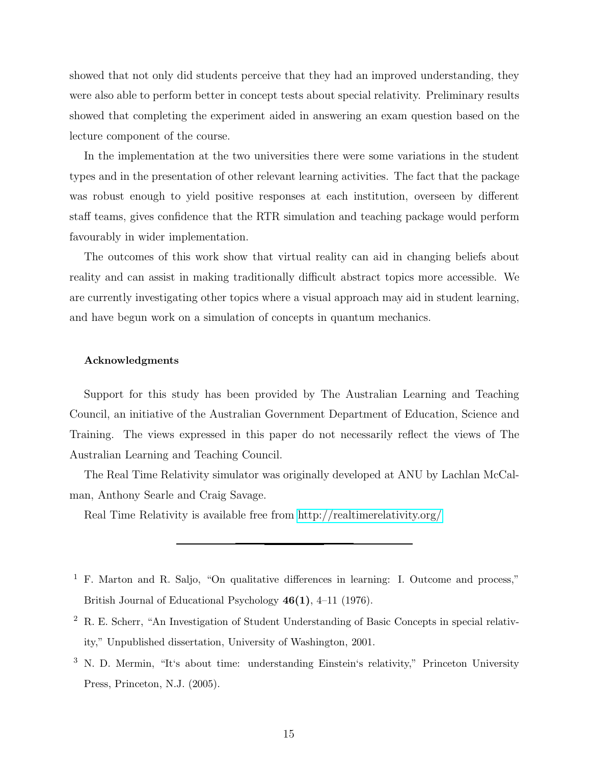showed that not only did students perceive that they had an improved understanding, they were also able to perform better in concept tests about special relativity. Preliminary results showed that completing the experiment aided in answering an exam question based on the lecture component of the course.

In the implementation at the two universities there were some variations in the student types and in the presentation of other relevant learning activities. The fact that the package was robust enough to yield positive responses at each institution, overseen by different staff teams, gives confidence that the RTR simulation and teaching package would perform favourably in wider implementation.

The outcomes of this work show that virtual reality can aid in changing beliefs about reality and can assist in making traditionally difficult abstract topics more accessible. We are currently investigating other topics where a visual approach may aid in student learning, and have begun work on a simulation of concepts in quantum mechanics.

# Acknowledgments

Support for this study has been provided by The Australian Learning and Teaching Council, an initiative of the Australian Government Department of Education, Science and Training. The views expressed in this paper do not necessarily reflect the views of The Australian Learning and Teaching Council.

The Real Time Relativity simulator was originally developed at ANU by Lachlan McCalman, Anthony Searle and Craig Savage.

Real Time Relativity is available free from<http://realtimerelativity.org/>

<span id="page-14-0"></span><sup>1</sup> F. Marton and R. Saljo, "On qualitative differences in learning: I. Outcome and process," British Journal of Educational Psychology 46(1), 4–11 (1976).

<span id="page-14-1"></span><sup>2</sup> R. E. Scherr, "An Investigation of Student Understanding of Basic Concepts in special relativity," Unpublished dissertation, University of Washington, 2001.

<span id="page-14-2"></span><sup>&</sup>lt;sup>3</sup> N. D. Mermin, "It's about time: understanding Einstein's relativity," Princeton University Press, Princeton, N.J. (2005).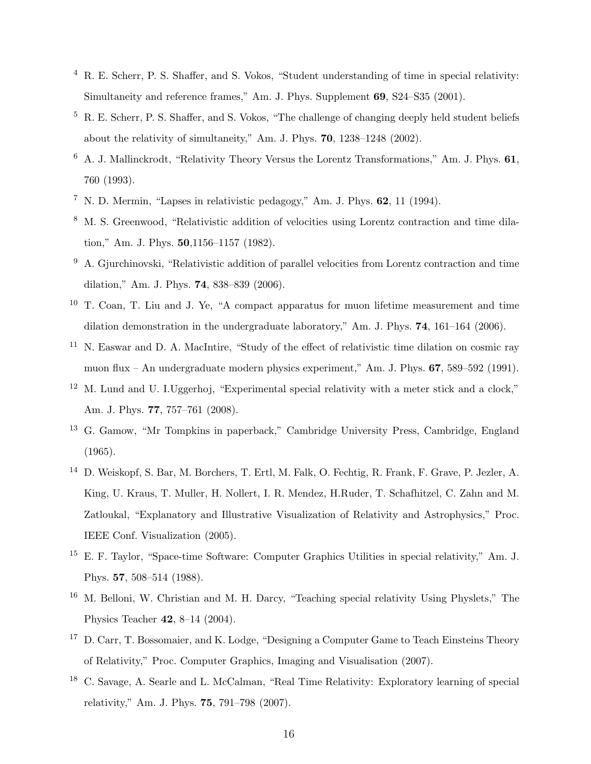- <span id="page-15-0"></span><sup>4</sup> R. E. Scherr, P. S. Shaffer, and S. Vokos, "Student understanding of time in special relativity: Simultaneity and reference frames," Am. J. Phys. Supplement 69, S24–S35 (2001).
- <span id="page-15-1"></span><sup>5</sup> R. E. Scherr, P. S. Shaffer, and S. Vokos, "The challenge of changing deeply held student beliefs about the relativity of simultaneity," Am. J. Phys. 70, 1238–1248 (2002).
- <span id="page-15-2"></span> $6\,$  A. J. Mallinckrodt, "Relativity Theory Versus the Lorentz Transformations," Am. J. Phys. 61, 760 (1993).
- <span id="page-15-3"></span><sup>7</sup> N. D. Mermin, "Lapses in relativistic pedagogy," Am. J. Phys. 62, 11 (1994).
- <span id="page-15-4"></span><sup>8</sup> M. S. Greenwood, "Relativistic addition of velocities using Lorentz contraction and time dilation," Am. J. Phys. 50,1156–1157 (1982).
- <span id="page-15-5"></span><sup>9</sup> A. Gjurchinovski, "Relativistic addition of parallel velocities from Lorentz contraction and time dilation," Am. J. Phys. 74, 838–839 (2006).
- <span id="page-15-6"></span><sup>10</sup> T. Coan, T. Liu and J. Ye, "A compact apparatus for muon lifetime measurement and time dilation demonstration in the undergraduate laboratory," Am. J. Phys. 74, 161–164 (2006).
- <span id="page-15-7"></span><sup>11</sup> N. Easwar and D. A. MacIntire, "Study of the effect of relativistic time dilation on cosmic ray muon flux – An undergraduate modern physics experiment," Am. J. Phys. 67, 589–592 (1991).
- <span id="page-15-8"></span><sup>12</sup> M. Lund and U. I.Uggerhoj, "Experimental special relativity with a meter stick and a clock," Am. J. Phys. 77, 757–761 (2008).
- <span id="page-15-9"></span><sup>13</sup> G. Gamow, "Mr Tompkins in paperback," Cambridge University Press, Cambridge, England (1965).
- <span id="page-15-10"></span><sup>14</sup> D. Weiskopf, S. Bar, M. Borchers, T. Ertl, M. Falk, O. Fechtig, R. Frank, F. Grave, P. Jezler, A. King, U. Kraus, T. Muller, H. Nollert, I. R. Mendez, H.Ruder, T. Schafhitzel, C. Zahn and M. Zatloukal, "Explanatory and Illustrative Visualization of Relativity and Astrophysics," Proc. IEEE Conf. Visualization (2005).
- <span id="page-15-11"></span><sup>15</sup> E. F. Taylor, "Space-time Software: Computer Graphics Utilities in special relativity," Am. J. Phys. 57, 508–514 (1988).
- <span id="page-15-12"></span><sup>16</sup> M. Belloni, W. Christian and M. H. Darcy, "Teaching special relativity Using Physlets," The Physics Teacher 42, 8–14 (2004).
- <span id="page-15-13"></span><sup>17</sup> D. Carr, T. Bossomaier, and K. Lodge, "Designing a Computer Game to Teach Einsteins Theory of Relativity," Proc. Computer Graphics, Imaging and Visualisation (2007).
- <span id="page-15-14"></span><sup>18</sup> C. Savage, A. Searle and L. McCalman, "Real Time Relativity: Exploratory learning of special relativity," Am. J. Phys. 75, 791–798 (2007).